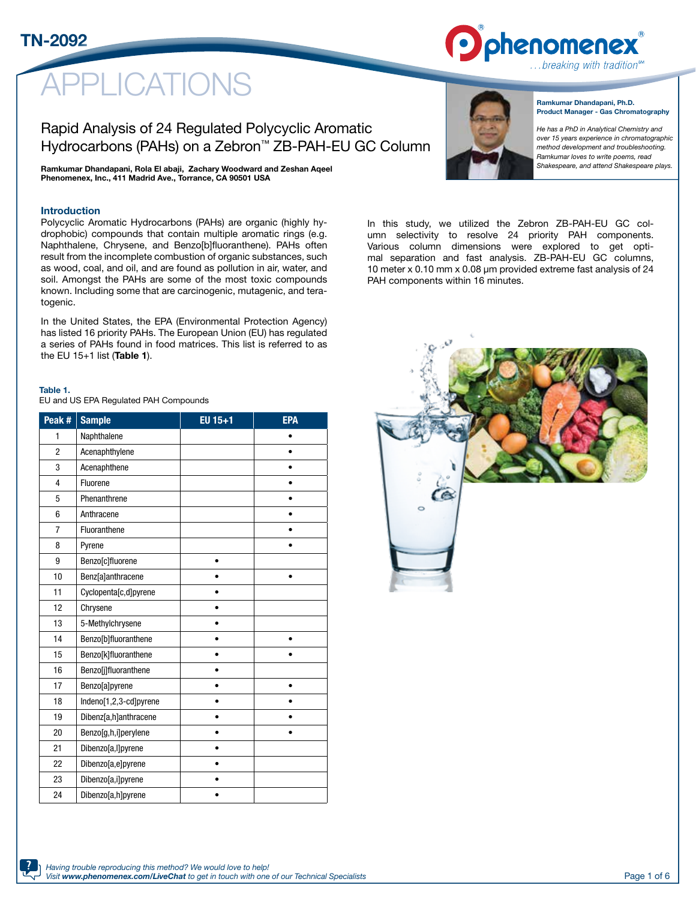### TN-2092

## **O**phenomenex ...breaking with tradition<sup>®</sup>

# **PLICATIONS**

Rapid Analysis of 24 Regulated Polycyclic Aromatic Hydrocarbons (PAHs) on a Zebron™ ZB-PAH-EU GC Column

Ramkumar Dhandapani, Rola El abaji, Zachary Woodward and Zeshan Aqeel Phenomenex, Inc., 411 Madrid Ave., Torrance, CA 90501 USA

#### Introduction

Polycyclic Aromatic Hydrocarbons (PAHs) are organic (highly hydrophobic) compounds that contain multiple aromatic rings (e.g. Naphthalene, Chrysene, and Benzo[b]fluoranthene). PAHs often result from the incomplete combustion of organic substances, such as wood, coal, and oil, and are found as pollution in air, water, and soil. Amongst the PAHs are some of the most toxic compounds known. Including some that are carcinogenic, mutagenic, and teratogenic.

In the United States, the EPA (Environmental Protection Agency) has listed 16 priority PAHs. The European Union (EU) has regulated a series of PAHs found in food matrices. This list is referred to as the EU  $15+1$  list (Table 1).

#### Table 1.

EU and US EPA Regulated PAH Compounds

| Peak #         | <b>Sample</b>          | EU 15+1   | <b>EPA</b> |
|----------------|------------------------|-----------|------------|
| 1              | Naphthalene            |           |            |
| $\overline{2}$ | Acenaphthylene         |           |            |
| 3              | Acenaphthene           |           |            |
| 4              | Fluorene               |           |            |
| 5              | Phenanthrene           |           |            |
| 6              | Anthracene             |           |            |
| $\overline{7}$ | Fluoranthene           |           |            |
| 8              | Pyrene                 |           |            |
| 9              | Benzo[c]fluorene       | ٠         |            |
| 10             | Benz[a]anthracene      |           |            |
| 11             | Cyclopenta[c,d]pyrene  |           |            |
| 12             | Chrysene               |           |            |
| 13             | 5-Methylchrysene       |           |            |
| 14             | Benzo[b]fluoranthene   |           |            |
| 15             | Benzo[k]fluoranthene   | ٠         |            |
| 16             | Benzo[j]fluoranthene   |           |            |
| 17             | Benzo[a]pyrene         | ٠         | $\bullet$  |
| 18             | Indeno[1,2,3-cd]pyrene |           |            |
| 19             | Dibenz[a,h]anthracene  | $\bullet$ |            |
| 20             | Benzo[g,h,i]perylene   |           |            |
| 21             | Dibenzo[a,l]pyrene     | $\bullet$ |            |
| 22             | Dibenzo[a,e]pyrene     |           |            |
| 23             | Dibenzo[a,i]pyrene     |           |            |
| 24             | Dibenzo[a,h]pyrene     | ٠         |            |



#### Ramkumar Dhandapani, Ph.D. Product Manager - Gas Chromatography

*He has a PhD in Analytical Chemistry and over 15 years experience in chromatographic method development and troubleshooting. Ramkumar loves to write poems, read Shakespeare, and attend Shakespeare plays.*

In this study, we utilized the Zebron ZB-PAH-EU GC column selectivity to resolve 24 priority PAH components. Various column dimensions were explored to get optimal separation and fast analysis. ZB-PAH-EU GC columns, 10 meter x 0.10 mm x 0.08 µm provided extreme fast analysis of 24 PAH components within 16 minutes.

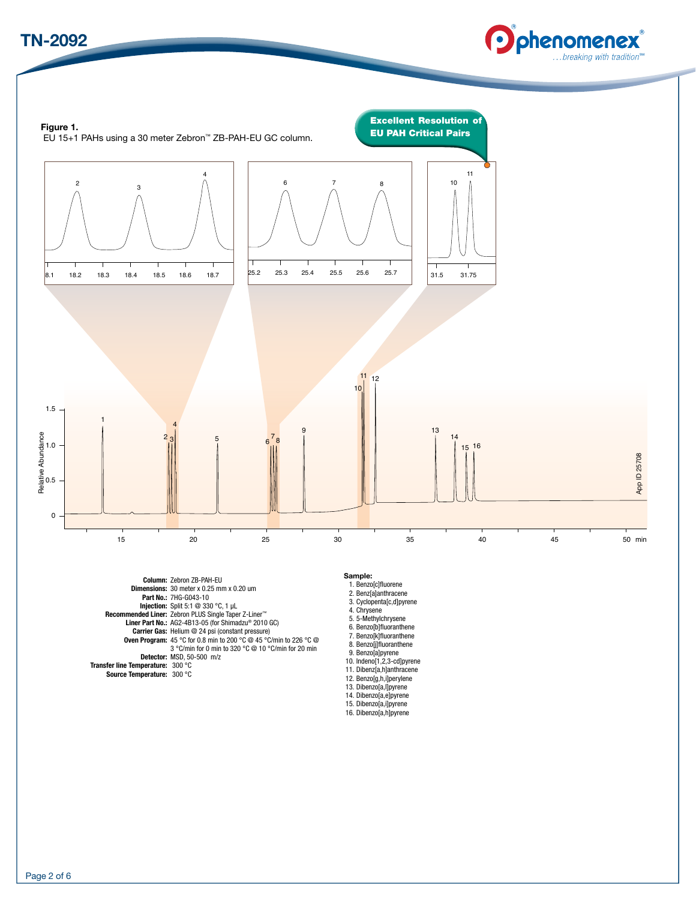

1

1.5





9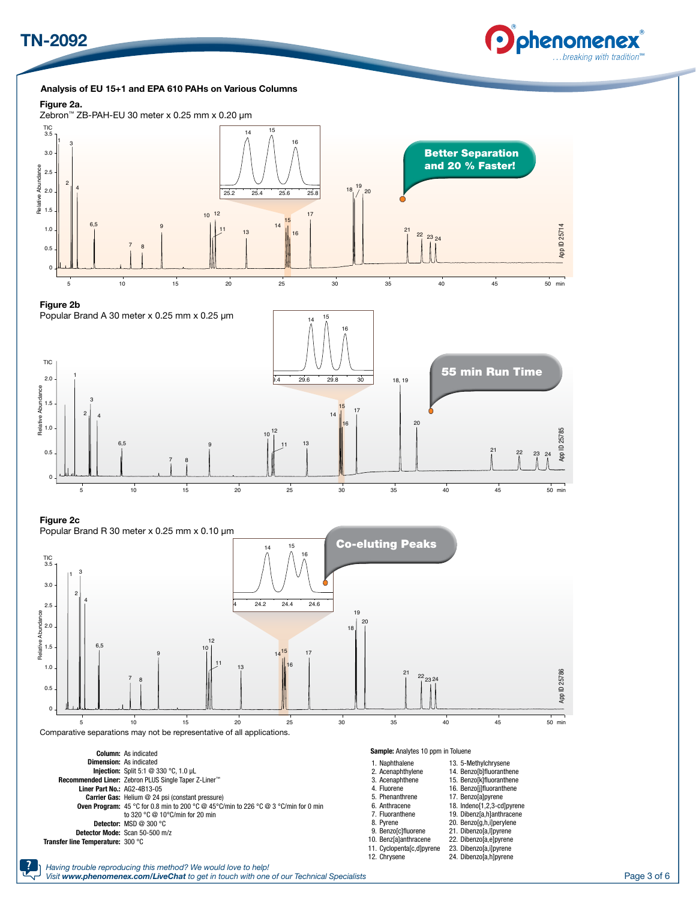## TN-2092



Analysis of EU 15+1 and EPA 610 PAHs on Various Columns







#### Figure 2b

Popular Brand A 30 meter x 0.25 mm x 0.25 µm



15

#### Figure 2c



9. Benzo[c]fluorene 10. Benz[a]anthracene 11. Cyclopenta[c,d]pyrene 12. Chrysene

21. Dibenzo[a,l]pyrene 22. Dibenzo[a,e]pyrene 23. Dibenzo[a,i]pyrene 24. Dibenzo[a,h]pyrene

Detector Mode: Scan 50-500 m/z

Transfer line Temperature: 300 °C

3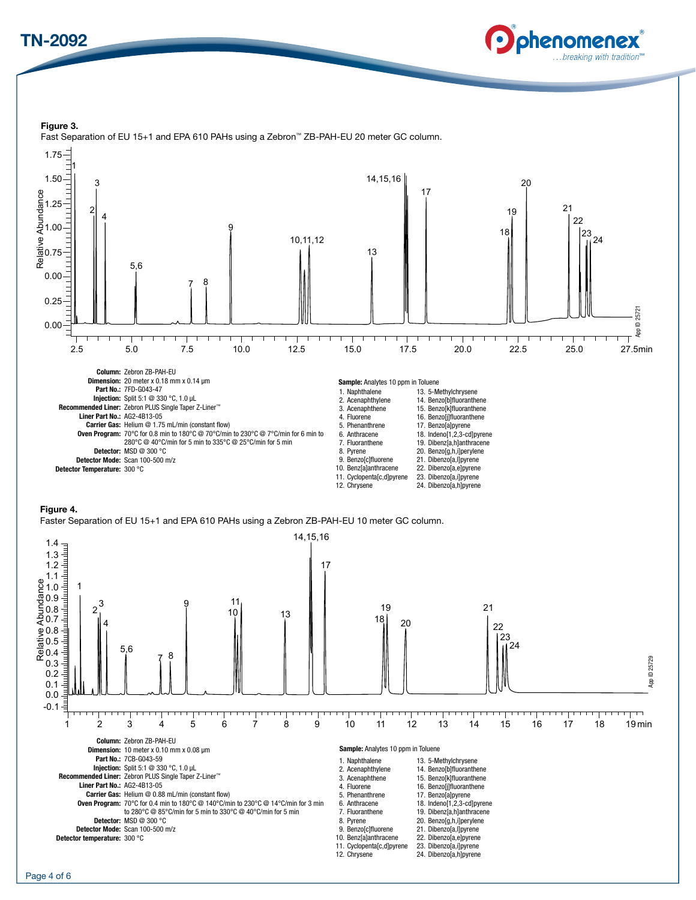## TN-2092



Figure 3. Fast Separation of EU 15+1 and EPA 610 PAHs using a Zebron™ ZB-PAH-EU 20 meter GC column.



4. Fluorene 5. Phenanthrene 6. Anthracene 7. Fluoranthene 8. Pyrene 9. Benzo[c]fluorene 10. Benz[a]anthracene 11. Cyclopenta[c,d]pyrene 12. Chrysene

16. Benzo[j]fluoranthene 17. Benzo[a]pyrene 18. Indeno[1,2,3-cd]pyrene 19. Dibenz[a,h]anthracene 20. Benzo[g,h,i]perylene 21. Dibenzo[a,l]pyrene 22. Dibenzo[a,e]pyrene 23. Dibenzo[a,i]pyrene 24. Dibenzo[a,h]pyrene

Page 4 of 6

Liner Part No.: AG2-4B13-05

Detector temperature: 300 °C

Detector: MSD @ 300 °C Detector Mode: Scan 100-500 m/z

Carrier Gas: Helium @ 0.88 mL/min (constant flow)

Oven Program: 70°C for 0.4 min to 180°C @ 140°C/min to 230°C @ 14°C/min for 3 min to 280°C @ 85°C/min for 5 min to 330°C @ 40°C/min for 5 min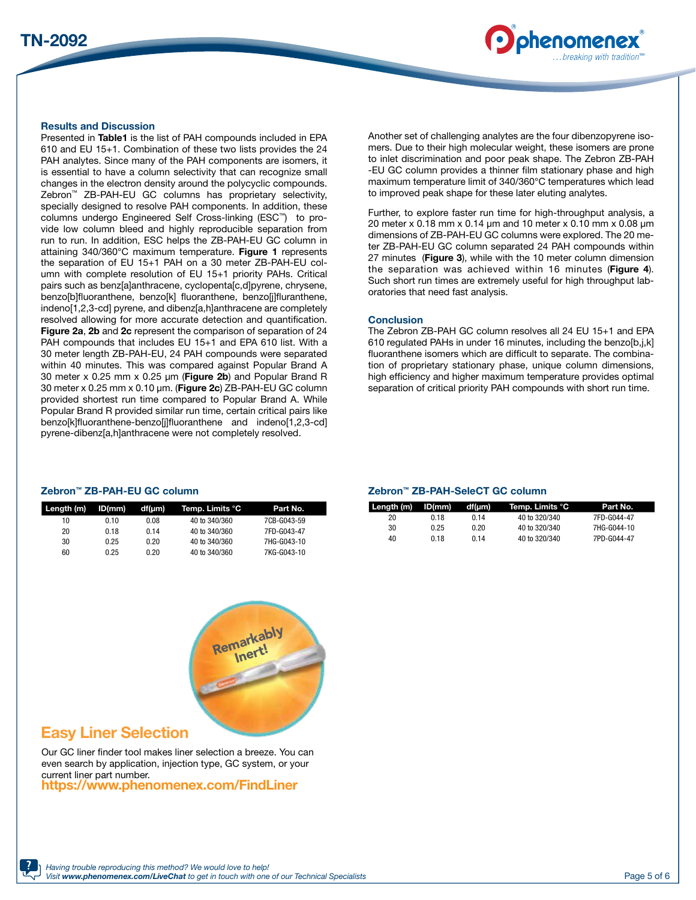



#### Results and Discussion

Presented in Table1 is the list of PAH compounds included in EPA 610 and EU 15+1. Combination of these two lists provides the 24 PAH analytes. Since many of the PAH components are isomers, it is essential to have a column selectivity that can recognize small changes in the electron density around the polycyclic compounds. Zebron™ ZB-PAH-EU GC columns has proprietary selectivity, specially designed to resolve PAH components. In addition, these columns undergo Engineered Self Cross-linking (ESC™) to provide low column bleed and highly reproducible separation from run to run. In addition, ESC helps the ZB-PAH-EU GC column in attaining 340/360°C maximum temperature. Figure 1 represents the separation of EU 15+1 PAH on a 30 meter ZB-PAH-EU column with complete resolution of EU 15+1 priority PAHs. Critical pairs such as benz[a]anthracene, cyclopenta[c,d]pyrene, chrysene, benzo[b]fluoranthene, benzo[k] fluoranthene, benzo[j]fluranthene, indeno[1,2,3-cd] pyrene, and dibenz[a,h]anthracene are completely resolved allowing for more accurate detection and quantification. Figure 2a, 2b and 2c represent the comparison of separation of 24 PAH compounds that includes EU 15+1 and EPA 610 list. With a 30 meter length ZB-PAH-EU, 24 PAH compounds were separated within 40 minutes. This was compared against Popular Brand A 30 meter x 0.25 mm x 0.25 µm (Figure 2b) and Popular Brand R 30 meter x 0.25 mm x 0.10 µm. (Figure 2c) ZB-PAH-EU GC column provided shortest run time compared to Popular Brand A. While Popular Brand R provided similar run time, certain critical pairs like benzo[k]fluoranthene-benzo[j]fluoranthene and indeno[1,2,3-cd] pyrene-dibenz[a,h]anthracene were not completely resolved.

Another set of challenging analytes are the four dibenzopyrene isomers. Due to their high molecular weight, these isomers are prone to inlet discrimination and poor peak shape. The Zebron ZB-PAH -EU GC column provides a thinner film stationary phase and high maximum temperature limit of 340/360°C temperatures which lead to improved peak shape for these later eluting analytes.

Further, to explore faster run time for high-throughput analysis, a 20 meter x 0.18 mm x 0.14 µm and 10 meter x 0.10 mm x 0.08 µm dimensions of ZB-PAH-EU GC columns were explored. The 20 meter ZB-PAH-EU GC column separated 24 PAH compounds within 27 minutes (Figure 3), while with the 10 meter column dimension the separation was achieved within 16 minutes (Figure 4). Such short run times are extremely useful for high throughput laboratories that need fast analysis.

### Conclusion

The Zebron ZB-PAH GC column resolves all 24 EU 15+1 and EPA 610 regulated PAHs in under 16 minutes, including the benzo[b,j,k] fluoranthene isomers which are difficult to separate. The combination of proprietary stationary phase, unique column dimensions, high efficiency and higher maximum temperature provides optimal separation of critical priority PAH compounds with short run time.

| ID(mm) | df(µm) | Temp. Limits °C | Part No.    |  |
|--------|--------|-----------------|-------------|--|
| 0.10   | 0.08   | 40 to 340/360   | 7CB-G043-59 |  |
| 0.18   | 0 14   | 40 to 340/360   | 7FD-G043-47 |  |
| 0.25   | 0.20   | 40 to 340/360   | 7HG-G043-10 |  |
| 0.25   | 0.20   | 40 to 340/360   | 7KG-G043-10 |  |
|        |        |                 |             |  |



### Easy Liner Selection

Our GC liner finder tool makes liner selection a breeze. You can even search by application, injection type, GC system, or your current liner part number.

https://www.phenomenex.com/FindLiner

#### Zebron™ ZB-PAH-EU GC column Zebron™ ZB-PAH-SeleCT GC column

| ID(mm) | df(um)     | Temp. Limits °C | Part No.    |  |
|--------|------------|-----------------|-------------|--|
| 0 18   | 014        | 40 to 320/340   | 7FD-G044-47 |  |
| 0.25   | 0.20       | 40 to 320/340   | 7HG-G044-10 |  |
| 0 18   | 014        | 40 to 320/340   | 7PD-G044-47 |  |
|        | Length (m) |                 |             |  |